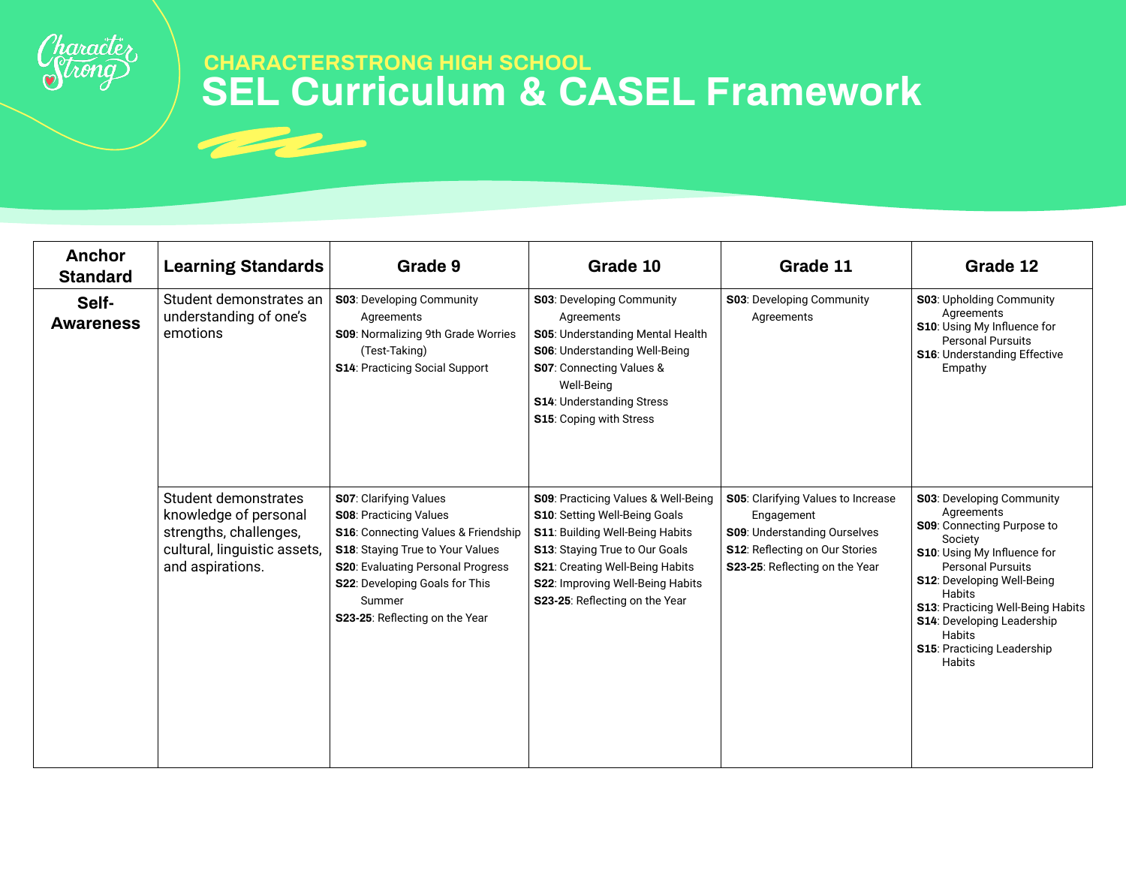

| <b>Anchor</b><br><b>Standard</b> | <b>Learning Standards</b>                                                                                                   | Grade 9                                                                                                                                                                                                                                                                    | Grade 10                                                                                                                                                                                                                                                                 | Grade 11                                                                                                                                                           | Grade 12                                                                                                                                                                                                                                                                                                                                    |
|----------------------------------|-----------------------------------------------------------------------------------------------------------------------------|----------------------------------------------------------------------------------------------------------------------------------------------------------------------------------------------------------------------------------------------------------------------------|--------------------------------------------------------------------------------------------------------------------------------------------------------------------------------------------------------------------------------------------------------------------------|--------------------------------------------------------------------------------------------------------------------------------------------------------------------|---------------------------------------------------------------------------------------------------------------------------------------------------------------------------------------------------------------------------------------------------------------------------------------------------------------------------------------------|
| Self-<br><b>Awareness</b>        | Student demonstrates an<br>understanding of one's<br>emotions                                                               | <b>S03</b> : Developing Community<br>Agreements<br>S09: Normalizing 9th Grade Worries<br>(Test-Taking)<br><b>S14: Practicing Social Support</b>                                                                                                                            | <b>S03: Developing Community</b><br>Agreements<br>S05: Understanding Mental Health<br>S06: Understanding Well-Being<br>S07: Connecting Values &<br>Well-Being<br><b>S14: Understanding Stress</b><br>S15: Coping with Stress                                             | <b>S03</b> : Developing Community<br>Agreements                                                                                                                    | <b>S03: Upholding Community</b><br>Agreements<br><b>S10:</b> Using My Influence for<br><b>Personal Pursuits</b><br><b>S16: Understanding Effective</b><br>Empathy                                                                                                                                                                           |
|                                  | Student demonstrates<br>knowledge of personal<br>strengths, challenges,<br>cultural, linguistic assets,<br>and aspirations. | S07: Clarifying Values<br><b>S08: Practicing Values</b><br>S16: Connecting Values & Friendship<br><b>S18:</b> Staying True to Your Values<br><b>S20: Evaluating Personal Progress</b><br><b>S22: Developing Goals for This</b><br>Summer<br>S23-25: Reflecting on the Year | <b>S09</b> : Practicing Values & Well-Being<br>S10: Setting Well-Being Goals<br>S11: Building Well-Being Habits<br><b>S13: Staying True to Our Goals</b><br><b>S21:</b> Creating Well-Being Habits<br>S22: Improving Well-Being Habits<br>S23-25: Reflecting on the Year | <b>S05: Clarifying Values to Increase</b><br>Engagement<br><b>S09: Understanding Ourselves</b><br>S12: Reflecting on Our Stories<br>S23-25: Reflecting on the Year | <b>S03: Developing Community</b><br>Agreements<br>S09: Connecting Purpose to<br>Society<br>S10: Using My Influence for<br><b>Personal Pursuits</b><br><b>S12: Developing Well-Being</b><br>Habits<br><b>S13: Practicing Well-Being Habits</b><br><b>S14: Developing Leadership</b><br>Habits<br><b>S15: Practicing Leadership</b><br>Habits |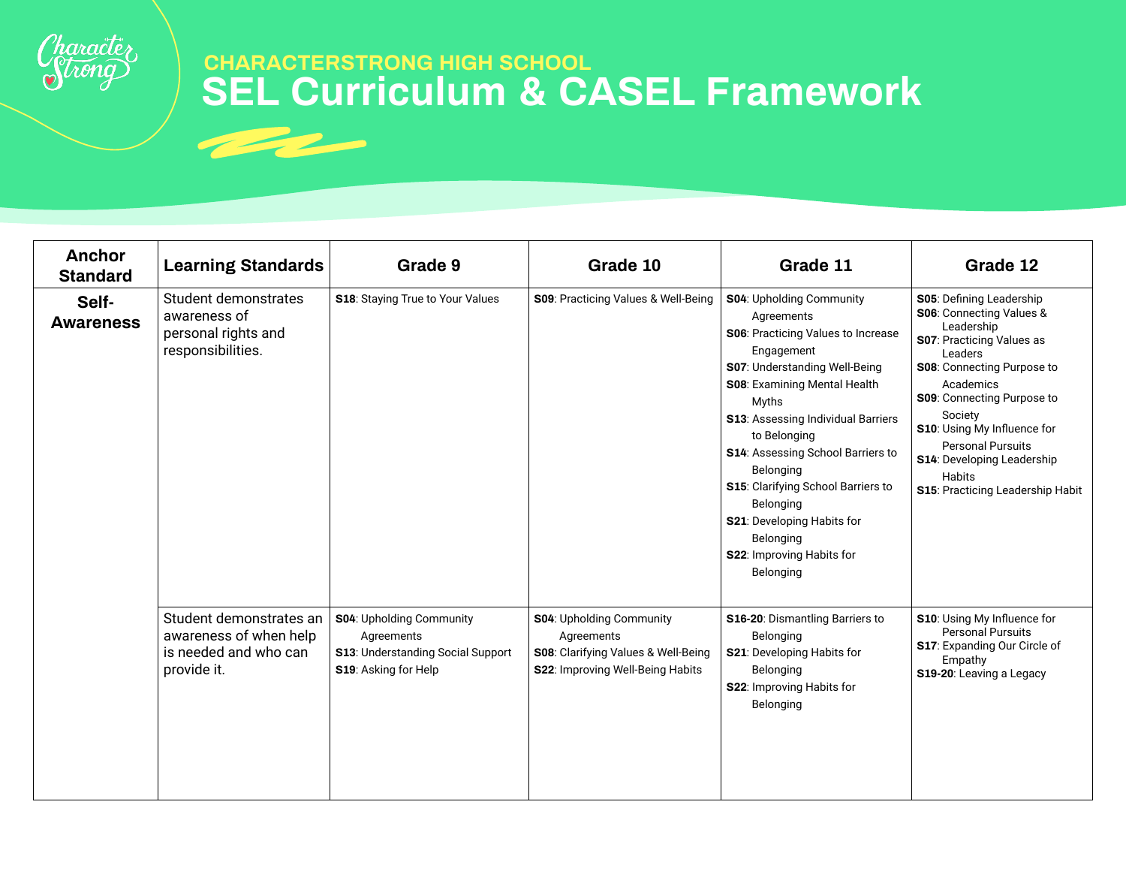

| <b>Anchor</b><br><b>Standard</b> | <b>Learning Standards</b>                                                                 | Grade 9                                                                                             | Grade 10                                                                                                          | Grade 11                                                                                                                                                                                                                                                                                                                                                                                                                                         | Grade 12                                                                                                                                                                                                                                                                                                                              |
|----------------------------------|-------------------------------------------------------------------------------------------|-----------------------------------------------------------------------------------------------------|-------------------------------------------------------------------------------------------------------------------|--------------------------------------------------------------------------------------------------------------------------------------------------------------------------------------------------------------------------------------------------------------------------------------------------------------------------------------------------------------------------------------------------------------------------------------------------|---------------------------------------------------------------------------------------------------------------------------------------------------------------------------------------------------------------------------------------------------------------------------------------------------------------------------------------|
| Self-<br><b>Awareness</b>        | Student demonstrates<br>awareness of<br>personal rights and<br>responsibilities.          | S18: Staying True to Your Values                                                                    | S09: Practicing Values & Well-Being                                                                               | <b>S04: Upholding Community</b><br>Agreements<br>S06: Practicing Values to Increase<br>Engagement<br>S07: Understanding Well-Being<br>S08: Examining Mental Health<br>Myths<br><b>S13: Assessing Individual Barriers</b><br>to Belonging<br>S14: Assessing School Barriers to<br>Belonging<br><b>S15:</b> Clarifying School Barriers to<br>Belonging<br><b>S21:</b> Developing Habits for<br>Belonging<br>S22: Improving Habits for<br>Belonging | S05: Defining Leadership<br>S06: Connecting Values &<br>Leadership<br>S07: Practicing Values as<br>Leaders<br>S08: Connecting Purpose to<br>Academics<br>S09: Connecting Purpose to<br>Society<br>S10: Using My Influence for<br><b>Personal Pursuits</b><br>S14: Developing Leadership<br>Habits<br>S15: Practicing Leadership Habit |
|                                  | Student demonstrates an<br>awareness of when help<br>is needed and who can<br>provide it. | S04: Upholding Community<br>Agreements<br>S13: Understanding Social Support<br>S19: Asking for Help | S04: Upholding Community<br>Agreements<br>S08: Clarifying Values & Well-Being<br>S22: Improving Well-Being Habits | S16-20: Dismantling Barriers to<br>Belonging<br>S21: Developing Habits for<br>Belonging<br><b>S22: Improving Habits for</b><br>Belonging                                                                                                                                                                                                                                                                                                         | S10: Using My Influence for<br><b>Personal Pursuits</b><br>S17: Expanding Our Circle of<br>Empathy<br>S19-20: Leaving a Legacy                                                                                                                                                                                                        |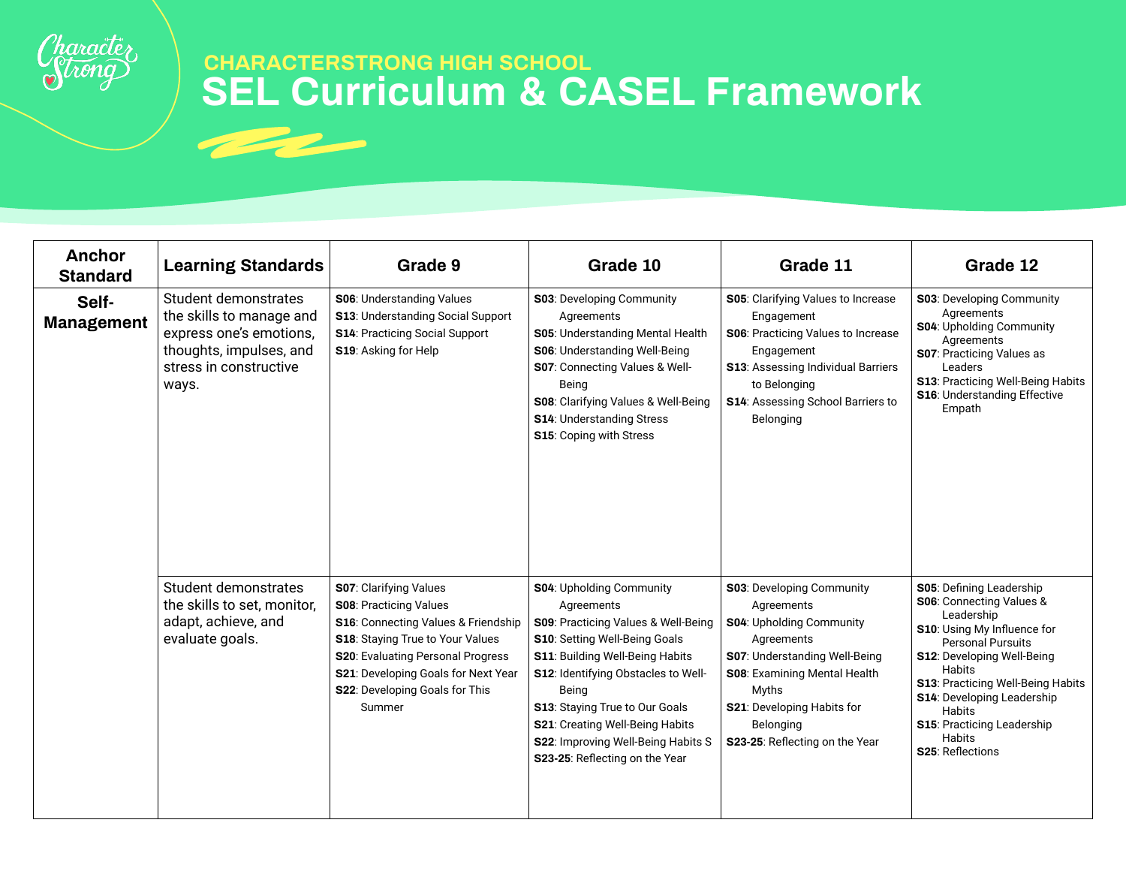

| <b>Anchor</b><br><b>Standard</b> | <b>Learning Standards</b>                                                                                                                 | Grade 9                                                                                                                                                                                                                                                            | Grade 10                                                                                                                                                                                                                                                                                                                                                                   | Grade 11                                                                                                                                                                                                                                         | Grade 12                                                                                                                                                                                                                                                                                                                                                        |
|----------------------------------|-------------------------------------------------------------------------------------------------------------------------------------------|--------------------------------------------------------------------------------------------------------------------------------------------------------------------------------------------------------------------------------------------------------------------|----------------------------------------------------------------------------------------------------------------------------------------------------------------------------------------------------------------------------------------------------------------------------------------------------------------------------------------------------------------------------|--------------------------------------------------------------------------------------------------------------------------------------------------------------------------------------------------------------------------------------------------|-----------------------------------------------------------------------------------------------------------------------------------------------------------------------------------------------------------------------------------------------------------------------------------------------------------------------------------------------------------------|
| Self-<br><b>Management</b>       | Student demonstrates<br>the skills to manage and<br>express one's emotions,<br>thoughts, impulses, and<br>stress in constructive<br>ways. | <b>S06: Understanding Values</b><br>S13: Understanding Social Support<br><b>S14: Practicing Social Support</b><br>S19: Asking for Help                                                                                                                             | <b>S03</b> : Developing Community<br>Agreements<br>S05: Understanding Mental Health<br><b>S06: Understanding Well-Being</b><br>S07: Connecting Values & Well-<br>Being<br>S08: Clarifying Values & Well-Being<br><b>S14: Understanding Stress</b><br><b>S15: Coping with Stress</b>                                                                                        | S05: Clarifying Values to Increase<br>Engagement<br><b>S06</b> : Practicing Values to Increase<br>Engagement<br>S13: Assessing Individual Barriers<br>to Belonging<br><b>S14: Assessing School Barriers to</b><br>Belonging                      | <b>S03</b> : Developing Community<br>Agreements<br><b>S04: Upholding Community</b><br>Agreements<br><b>S07: Practicing Values as</b><br>Leaders<br><b>S13: Practicing Well-Being Habits</b><br><b>S16: Understanding Effective</b><br>Empath                                                                                                                    |
|                                  | Student demonstrates<br>the skills to set, monitor,<br>adapt, achieve, and<br>evaluate goals.                                             | S07: Clarifying Values<br><b>S08: Practicing Values</b><br>S16: Connecting Values & Friendship<br>S18: Staying True to Your Values<br>S20: Evaluating Personal Progress<br><b>S21</b> : Developing Goals for Next Year<br>S22: Developing Goals for This<br>Summer | <b>S04: Upholding Community</b><br>Agreements<br>S09: Practicing Values & Well-Being<br>S10: Setting Well-Being Goals<br><b>S11: Building Well-Being Habits</b><br><b>S12: Identifying Obstacles to Well-</b><br>Being<br>S13: Staying True to Our Goals<br>S21: Creating Well-Being Habits<br><b>S22: Improving Well-Being Habits S</b><br>S23-25: Reflecting on the Year | <b>S03</b> : Developing Community<br>Agreements<br>S04: Upholding Community<br>Agreements<br>S07: Understanding Well-Being<br>S08: Examining Mental Health<br>Myths<br>S21: Developing Habits for<br>Belonging<br>S23-25: Reflecting on the Year | S05: Defining Leadership<br>S06: Connecting Values &<br>Leadership<br>S10: Using My Influence for<br><b>Personal Pursuits</b><br><b>S12: Developing Well-Being</b><br><b>Habits</b><br><b>S13: Practicing Well-Being Habits</b><br><b>S14: Developing Leadership</b><br><b>Habits</b><br>S15: Practicing Leadership<br><b>Habits</b><br><b>S25: Reflections</b> |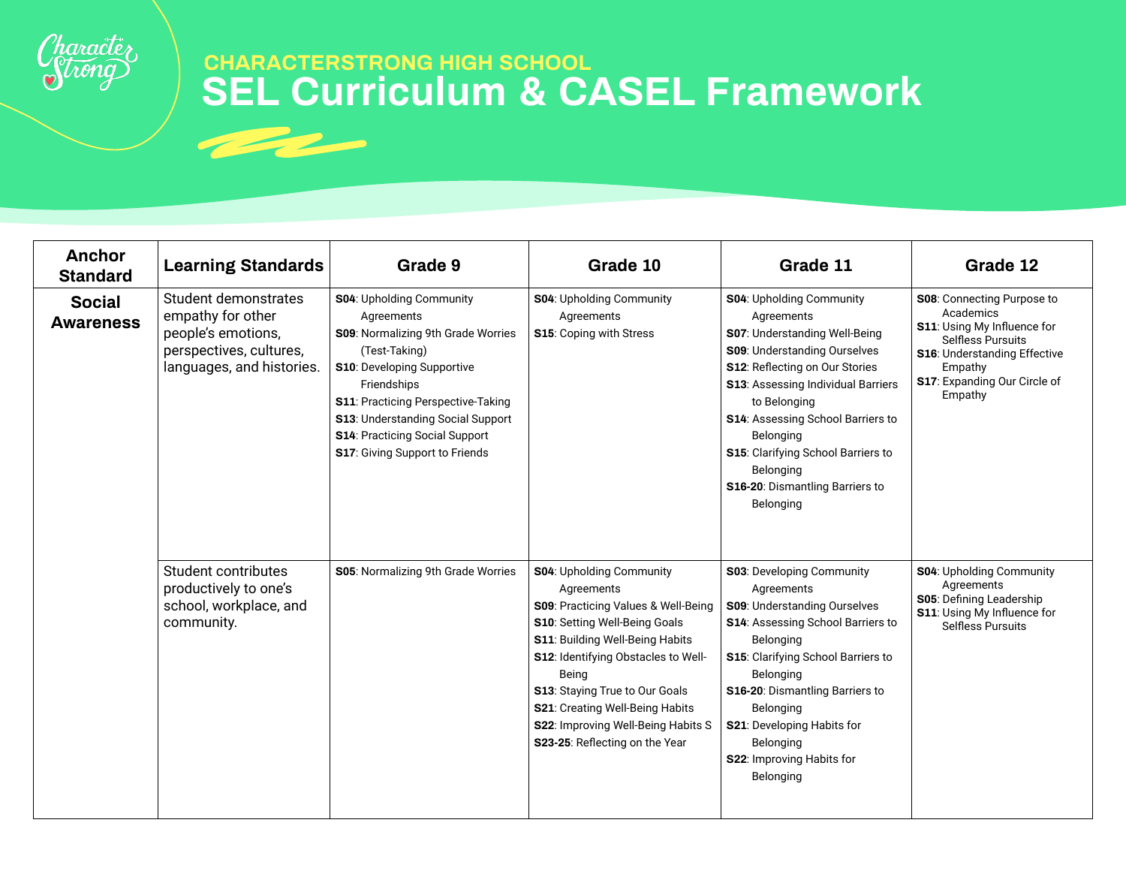

| <b>Anchor</b><br><b>Standard</b>  | <b>Learning Standards</b>                                                                                               | Grade 9                                                                                                                                                                                                                                                                                                        | Grade 10                                                                                                                                                                                                                                                                                                                                                     | Grade 11                                                                                                                                                                                                                                                                                                                                                    | Grade 12                                                                                                                                                                                 |
|-----------------------------------|-------------------------------------------------------------------------------------------------------------------------|----------------------------------------------------------------------------------------------------------------------------------------------------------------------------------------------------------------------------------------------------------------------------------------------------------------|--------------------------------------------------------------------------------------------------------------------------------------------------------------------------------------------------------------------------------------------------------------------------------------------------------------------------------------------------------------|-------------------------------------------------------------------------------------------------------------------------------------------------------------------------------------------------------------------------------------------------------------------------------------------------------------------------------------------------------------|------------------------------------------------------------------------------------------------------------------------------------------------------------------------------------------|
| <b>Social</b><br><b>Awareness</b> | Student demonstrates<br>empathy for other<br>people's emotions,<br>perspectives, cultures,<br>languages, and histories. | S04: Upholding Community<br>Agreements<br>S09: Normalizing 9th Grade Worries<br>(Test-Taking)<br>S10: Developing Supportive<br>Friendships<br><b>S11: Practicing Perspective-Taking</b><br>S13: Understanding Social Support<br><b>S14: Practicing Social Support</b><br><b>S17: Giving Support to Friends</b> | S04: Upholding Community<br>Agreements<br>S15: Coping with Stress                                                                                                                                                                                                                                                                                            | S04: Upholding Community<br>Agreements<br>S07: Understanding Well-Being<br>S09: Understanding Ourselves<br>S12: Reflecting on Our Stories<br><b>S13: Assessing Individual Barriers</b><br>to Belonging<br>S14: Assessing School Barriers to<br>Belonging<br>S15: Clarifying School Barriers to<br>Belonging<br>S16-20: Dismantling Barriers to<br>Belonging | S08: Connecting Purpose to<br>Academics<br>S11: Using My Influence for<br><b>Selfless Pursuits</b><br>S16: Understanding Effective<br>Empathy<br>S17: Expanding Our Circle of<br>Empathy |
|                                   | Student contributes<br>productively to one's<br>school, workplace, and<br>community.                                    | S05: Normalizing 9th Grade Worries                                                                                                                                                                                                                                                                             | <b>S04: Upholding Community</b><br>Agreements<br>S09: Practicing Values & Well-Being<br>S10: Setting Well-Being Goals<br>S11: Building Well-Being Habits<br><b>S12: Identifying Obstacles to Well-</b><br>Being<br>S13: Staying True to Our Goals<br>S21: Creating Well-Being Habits<br>S22: Improving Well-Being Habits S<br>S23-25: Reflecting on the Year | <b>S03: Developing Community</b><br>Agreements<br>S09: Understanding Ourselves<br>S14: Assessing School Barriers to<br>Belonging<br>S15: Clarifying School Barriers to<br>Belonging<br>S16-20: Dismantling Barriers to<br>Belonging<br>S21: Developing Habits for<br>Belonging<br>S22: Improving Habits for<br>Belonging                                    | S04: Upholding Community<br>Agreements<br><b>S05: Defining Leadership</b><br>S11: Using My Influence for<br><b>Selfless Pursuits</b>                                                     |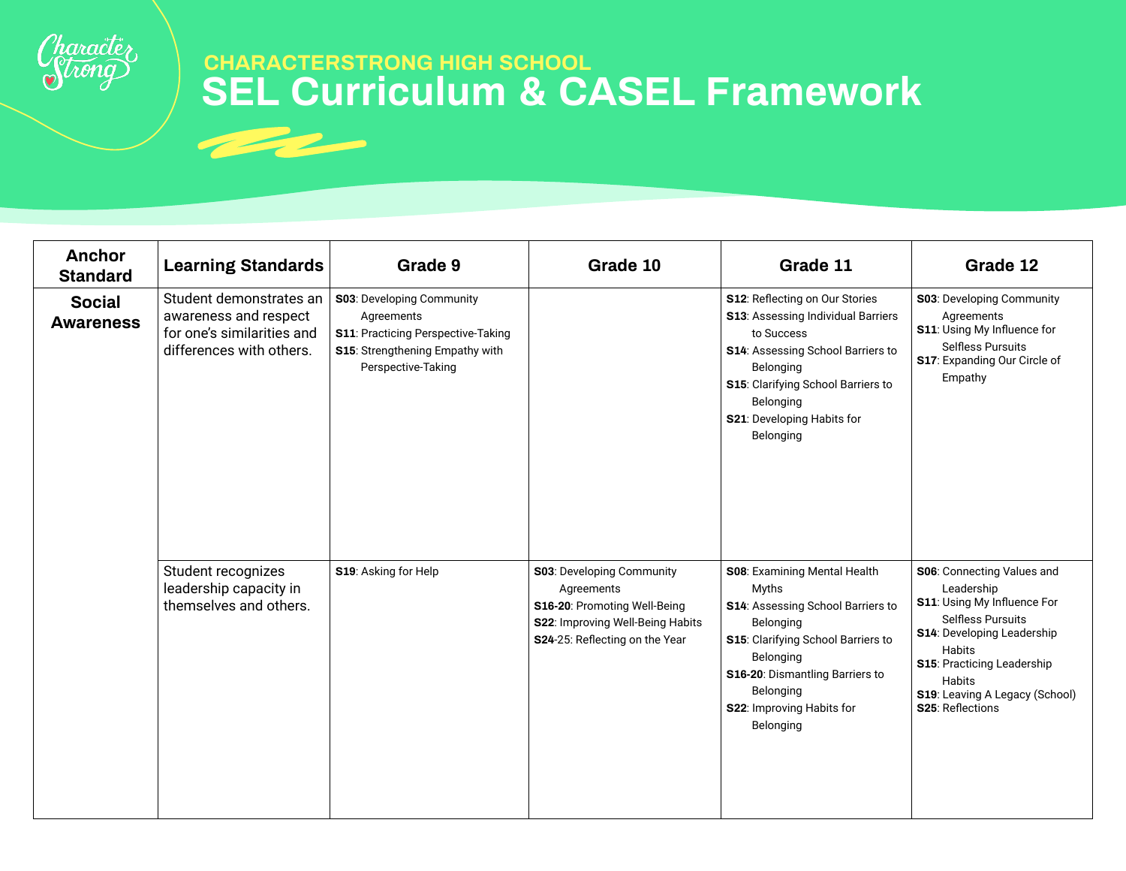

| <b>Anchor</b><br><b>Standard</b>  | <b>Learning Standards</b>                                                                                  | Grade 9                                                                                                                                               | Grade 10                                                                                                                                              | Grade 11                                                                                                                                                                                                                                    | Grade 12                                                                                                                                                                                                                                  |
|-----------------------------------|------------------------------------------------------------------------------------------------------------|-------------------------------------------------------------------------------------------------------------------------------------------------------|-------------------------------------------------------------------------------------------------------------------------------------------------------|---------------------------------------------------------------------------------------------------------------------------------------------------------------------------------------------------------------------------------------------|-------------------------------------------------------------------------------------------------------------------------------------------------------------------------------------------------------------------------------------------|
| <b>Social</b><br><b>Awareness</b> | Student demonstrates an<br>awareness and respect<br>for one's similarities and<br>differences with others. | <b>S03</b> : Developing Community<br>Agreements<br><b>S11: Practicing Perspective-Taking</b><br>S15: Strengthening Empathy with<br>Perspective-Taking |                                                                                                                                                       | S12: Reflecting on Our Stories<br><b>S13: Assessing Individual Barriers</b><br>to Success<br>S14: Assessing School Barriers to<br>Belonging<br>S15: Clarifying School Barriers to<br>Belonging<br>S21: Developing Habits for<br>Belonging   | <b>S03: Developing Community</b><br>Agreements<br>S11: Using My Influence for<br><b>Selfless Pursuits</b><br>S17: Expanding Our Circle of<br>Empathy                                                                                      |
|                                   | Student recognizes<br>leadership capacity in<br>themselves and others.                                     | S19: Asking for Help                                                                                                                                  | <b>S03</b> : Developing Community<br>Agreements<br>S16-20: Promoting Well-Being<br>S22: Improving Well-Being Habits<br>S24-25: Reflecting on the Year | S08: Examining Mental Health<br><b>Myths</b><br>S14: Assessing School Barriers to<br>Belonging<br>S15: Clarifying School Barriers to<br>Belonging<br>S16-20: Dismantling Barriers to<br>Belonging<br>S22: Improving Habits for<br>Belonging | S06: Connecting Values and<br>Leadership<br>S11: Using My Influence For<br><b>Selfless Pursuits</b><br>S14: Developing Leadership<br>Habits<br>S15: Practicing Leadership<br>Habits<br>S19: Leaving A Legacy (School)<br>S25: Reflections |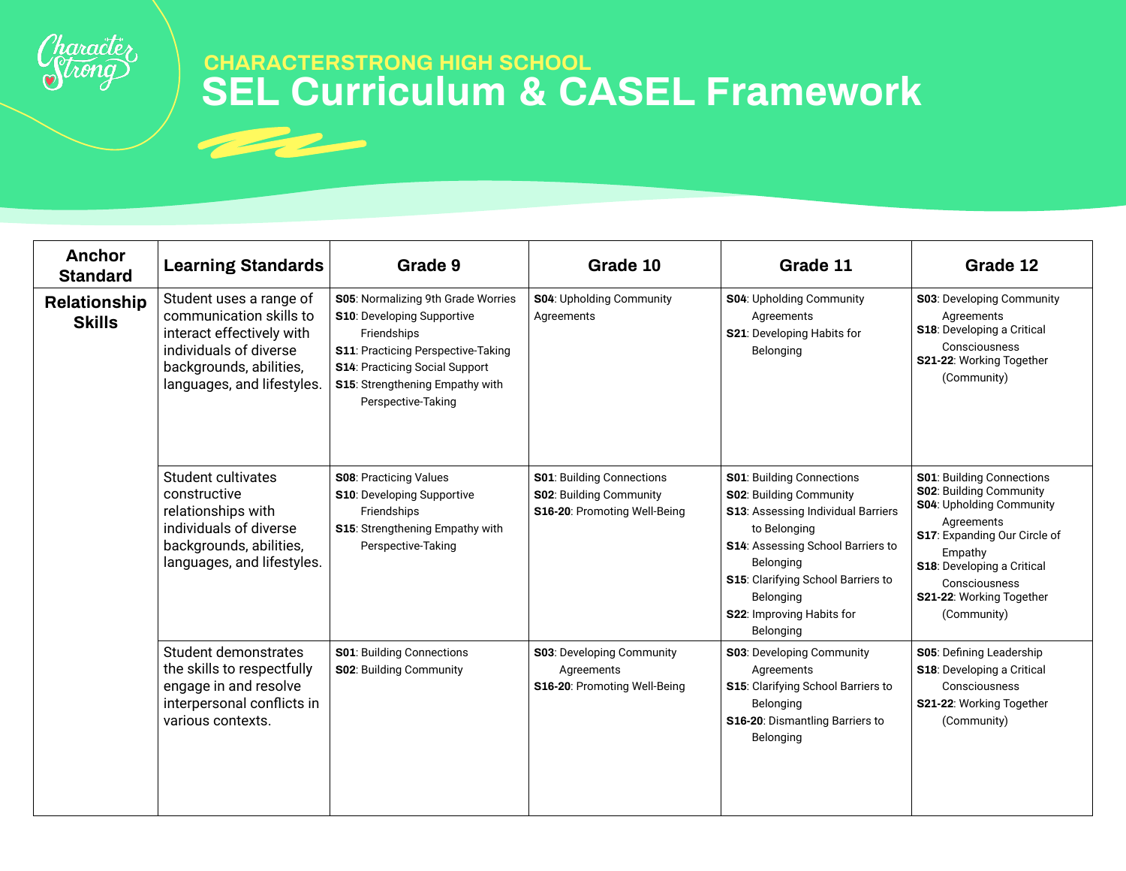

| Anchor<br><b>Standard</b>     | <b>Learning Standards</b>                                                                                                                                          | Grade 9                                                                                                                                                                                                                        | Grade 10                                                                                            | Grade 11                                                                                                                                                                                                                                                                        | Grade 12                                                                                                                                                                                                                                          |
|-------------------------------|--------------------------------------------------------------------------------------------------------------------------------------------------------------------|--------------------------------------------------------------------------------------------------------------------------------------------------------------------------------------------------------------------------------|-----------------------------------------------------------------------------------------------------|---------------------------------------------------------------------------------------------------------------------------------------------------------------------------------------------------------------------------------------------------------------------------------|---------------------------------------------------------------------------------------------------------------------------------------------------------------------------------------------------------------------------------------------------|
| Relationship<br><b>Skills</b> | Student uses a range of<br>communication skills to<br>interact effectively with<br>individuals of diverse<br>backgrounds, abilities,<br>languages, and lifestyles. | S05: Normalizing 9th Grade Worries<br><b>S10: Developing Supportive</b><br>Friendships<br><b>S11: Practicing Perspective-Taking</b><br>S14: Practicing Social Support<br>S15: Strengthening Empathy with<br>Perspective-Taking | <b>S04: Upholding Community</b><br>Agreements                                                       | S04: Upholding Community<br>Agreements<br>S21: Developing Habits for<br>Belonging                                                                                                                                                                                               | S03: Developing Community<br>Agreements<br>S18: Developing a Critical<br>Consciousness<br>S21-22: Working Together<br>(Community)                                                                                                                 |
|                               | Student cultivates<br>constructive<br>relationships with<br>individuals of diverse<br>backgrounds, abilities,<br>languages, and lifestyles.                        | <b>S08: Practicing Values</b><br><b>S10: Developing Supportive</b><br>Friendships<br>S15: Strengthening Empathy with<br>Perspective-Taking                                                                                     | <b>S01</b> : Building Connections<br><b>S02: Building Community</b><br>S16-20: Promoting Well-Being | <b>S01</b> : Building Connections<br><b>S02: Building Community</b><br><b>S13: Assessing Individual Barriers</b><br>to Belonging<br>S14: Assessing School Barriers to<br>Belonging<br>S15: Clarifying School Barriers to<br>Belonging<br>S22: Improving Habits for<br>Belonging | <b>S01: Building Connections</b><br><b>S02: Building Community</b><br>S04: Upholding Community<br>Agreements<br>S17: Expanding Our Circle of<br>Empathy<br>S18: Developing a Critical<br>Consciousness<br>S21-22: Working Together<br>(Community) |
|                               | Student demonstrates<br>the skills to respectfully<br>engage in and resolve<br>interpersonal conflicts in<br>various contexts.                                     | <b>S01: Building Connections</b><br><b>S02: Building Community</b>                                                                                                                                                             | <b>S03</b> : Developing Community<br>Agreements<br>S16-20: Promoting Well-Being                     | <b>S03</b> : Developing Community<br>Agreements<br>S15: Clarifying School Barriers to<br>Belonging<br>S16-20: Dismantling Barriers to<br>Belonging                                                                                                                              | S05: Defining Leadership<br>S18: Developing a Critical<br>Consciousness<br>S21-22: Working Together<br>(Community)                                                                                                                                |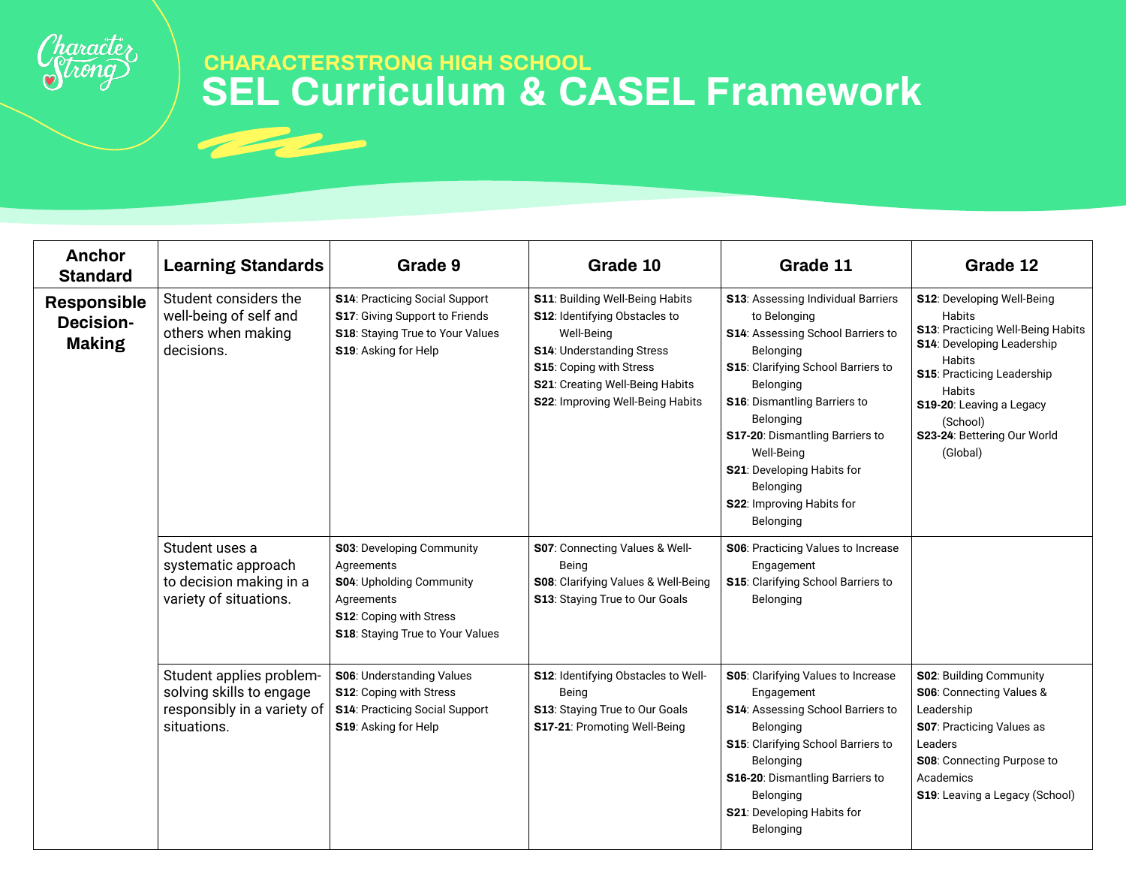

| <b>Anchor</b><br><b>Standard</b>                        | <b>Learning Standards</b>                                                                          | Grade 9                                                                                                                                                         | Grade 10                                                                                                                                                                                                                    | Grade 11                                                                                                                                                                                                                                                                                                                                                                | Grade 12                                                                                                                                                                                                                                            |
|---------------------------------------------------------|----------------------------------------------------------------------------------------------------|-----------------------------------------------------------------------------------------------------------------------------------------------------------------|-----------------------------------------------------------------------------------------------------------------------------------------------------------------------------------------------------------------------------|-------------------------------------------------------------------------------------------------------------------------------------------------------------------------------------------------------------------------------------------------------------------------------------------------------------------------------------------------------------------------|-----------------------------------------------------------------------------------------------------------------------------------------------------------------------------------------------------------------------------------------------------|
| <b>Responsible</b><br><b>Decision-</b><br><b>Making</b> | Student considers the<br>well-being of self and<br>others when making<br>decisions.                | <b>S14: Practicing Social Support</b><br>S17: Giving Support to Friends<br>S18: Staying True to Your Values<br>S19: Asking for Help                             | S11: Building Well-Being Habits<br><b>S12: Identifying Obstacles to</b><br>Well-Being<br><b>S14: Understanding Stress</b><br>S15: Coping with Stress<br>S21: Creating Well-Being Habits<br>S22: Improving Well-Being Habits | S13: Assessing Individual Barriers<br>to Belonging<br><b>S14: Assessing School Barriers to</b><br>Belonging<br>S15: Clarifying School Barriers to<br>Belonging<br><b>S16: Dismantling Barriers to</b><br>Belonging<br><b>S17-20: Dismantling Barriers to</b><br>Well-Being<br><b>S21</b> : Developing Habits for<br>Belonging<br>S22: Improving Habits for<br>Belonging | S12: Developing Well-Being<br>Habits<br>S13: Practicing Well-Being Habits<br>S14: Developing Leadership<br>Habits<br><b>S15: Practicing Leadership</b><br>Habits<br>S19-20: Leaving a Legacy<br>(School)<br>S23-24: Bettering Our World<br>(Global) |
|                                                         | Student uses a<br>systematic approach<br>to decision making in a<br>variety of situations.         | <b>S03</b> : Developing Community<br>Agreements<br><b>S04: Upholding Community</b><br>Agreements<br>S12: Coping with Stress<br>S18: Staying True to Your Values | S07: Connecting Values & Well-<br>Being<br>S08: Clarifying Values & Well-Being<br>S13: Staying True to Our Goals                                                                                                            | S06: Practicing Values to Increase<br>Engagement<br>S15: Clarifying School Barriers to<br>Belonging                                                                                                                                                                                                                                                                     |                                                                                                                                                                                                                                                     |
|                                                         | Student applies problem-<br>solving skills to engage<br>responsibly in a variety of<br>situations. | <b>S06: Understanding Values</b><br>S12: Coping with Stress<br><b>S14: Practicing Social Support</b><br>S19: Asking for Help                                    | S12: Identifying Obstacles to Well-<br>Being<br><b>S13: Staying True to Our Goals</b><br>S17-21: Promoting Well-Being                                                                                                       | S05: Clarifying Values to Increase<br>Engagement<br>S14: Assessing School Barriers to<br>Belonging<br>S15: Clarifying School Barriers to<br>Belonging<br>S16-20: Dismantling Barriers to<br>Belonging<br><b>S21</b> : Developing Habits for<br>Belonging                                                                                                                | <b>S02: Building Community</b><br>S06: Connecting Values &<br>Leadership<br><b>S07: Practicing Values as</b><br>Leaders<br>S08: Connecting Purpose to<br>Academics<br>S19: Leaving a Legacy (School)                                                |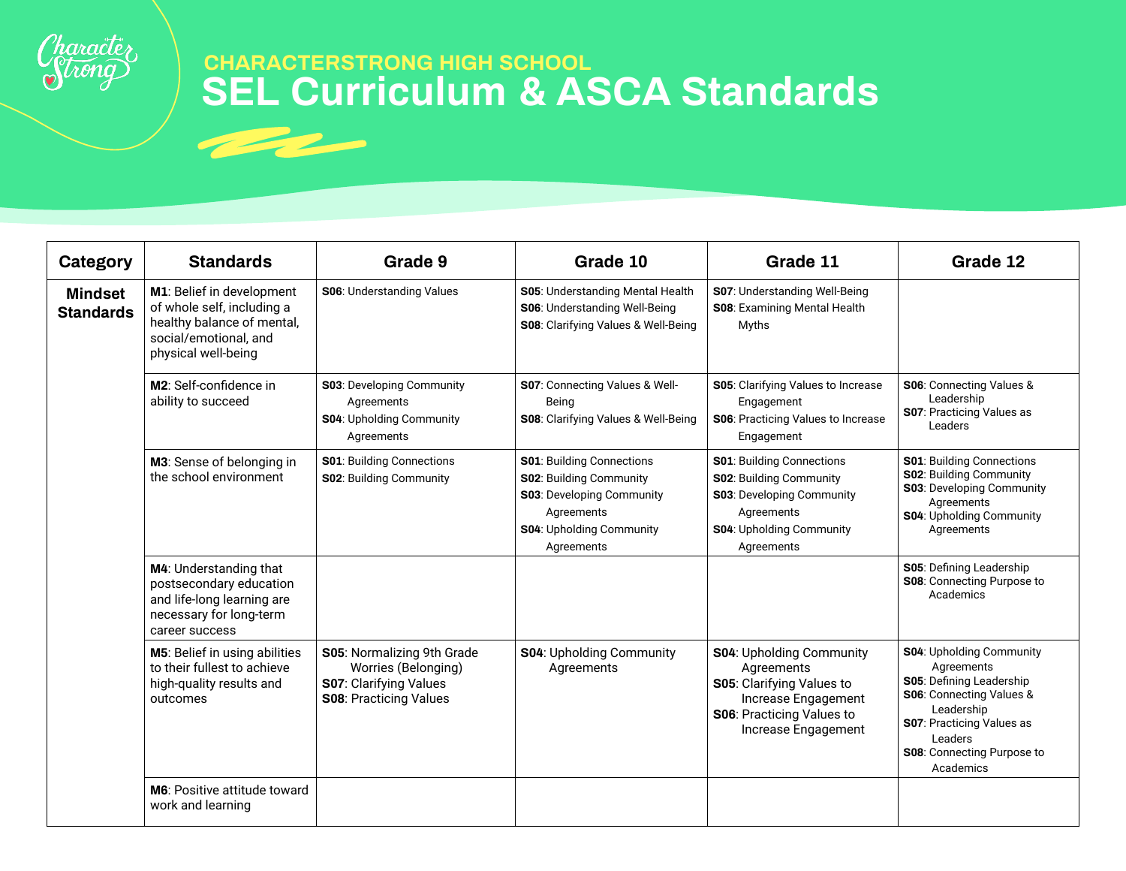

# **SEL Curriculum & ASCA Standards CHARACTERSTRONG HIGH SCHOOL**

| Category                           | <b>Standards</b>                                                                                                                      | Grade 9                                                                                                             | Grade 10                                                                                                                                                       | Grade 11                                                                                                                                                       | Grade 12                                                                                                                                                                                                             |
|------------------------------------|---------------------------------------------------------------------------------------------------------------------------------------|---------------------------------------------------------------------------------------------------------------------|----------------------------------------------------------------------------------------------------------------------------------------------------------------|----------------------------------------------------------------------------------------------------------------------------------------------------------------|----------------------------------------------------------------------------------------------------------------------------------------------------------------------------------------------------------------------|
| <b>Mindset</b><br><b>Standards</b> | M1: Belief in development<br>of whole self, including a<br>healthy balance of mental,<br>social/emotional, and<br>physical well-being | <b>S06: Understanding Values</b>                                                                                    | S05: Understanding Mental Health<br>S06: Understanding Well-Being<br>S08: Clarifying Values & Well-Being                                                       | S07: Understanding Well-Being<br>S08: Examining Mental Health<br><b>Myths</b>                                                                                  |                                                                                                                                                                                                                      |
|                                    | M2: Self-confidence in<br>ability to succeed                                                                                          | <b>S03: Developing Community</b><br>Agreements<br><b>S04: Upholding Community</b><br>Agreements                     | S07: Connecting Values & Well-<br>Being<br>S08: Clarifying Values & Well-Being                                                                                 | S05: Clarifying Values to Increase<br>Engagement<br>S06: Practicing Values to Increase<br>Engagement                                                           | S06: Connecting Values &<br>Leadership<br><b>S07: Practicing Values as</b><br>Leaders                                                                                                                                |
|                                    | M3: Sense of belonging in<br>the school environment                                                                                   | <b>S01</b> : Building Connections<br><b>S02: Building Community</b>                                                 | <b>S01: Building Connections</b><br>S02: Building Community<br><b>S03: Developing Community</b><br>Agreements<br><b>S04: Upholding Community</b><br>Agreements | <b>S01: Building Connections</b><br><b>S02: Building Community</b><br><b>S03: Developing Community</b><br>Agreements<br>S04: Upholding Community<br>Agreements | <b>S01: Building Connections</b><br><b>S02: Building Community</b><br>S03: Developing Community<br>Agreements<br><b>S04: Upholding Community</b><br>Agreements                                                       |
|                                    | M4: Understanding that<br>postsecondary education<br>and life-long learning are<br>necessary for long-term<br>career success          |                                                                                                                     |                                                                                                                                                                |                                                                                                                                                                | S05: Defining Leadership<br><b>S08: Connecting Purpose to</b><br>Academics                                                                                                                                           |
|                                    | M5: Belief in using abilities<br>to their fullest to achieve<br>high-quality results and<br>outcomes                                  | S05: Normalizing 9th Grade<br>Worries (Belonging)<br><b>S07: Clarifying Values</b><br><b>S08: Practicing Values</b> | <b>S04: Upholding Community</b><br>Agreements                                                                                                                  | <b>S04: Upholding Community</b><br>Agreements<br>S05: Clarifying Values to<br>Increase Engagement<br><b>S06: Practicing Values to</b><br>Increase Engagement   | <b>S04: Upholding Community</b><br>Agreements<br><b>S05: Defining Leadership</b><br>S06: Connecting Values &<br>Leadership<br><b>S07: Practicing Values as</b><br>Leaders<br>S08: Connecting Purpose to<br>Academics |
|                                    | <b>M6:</b> Positive attitude toward<br>work and learning                                                                              |                                                                                                                     |                                                                                                                                                                |                                                                                                                                                                |                                                                                                                                                                                                                      |